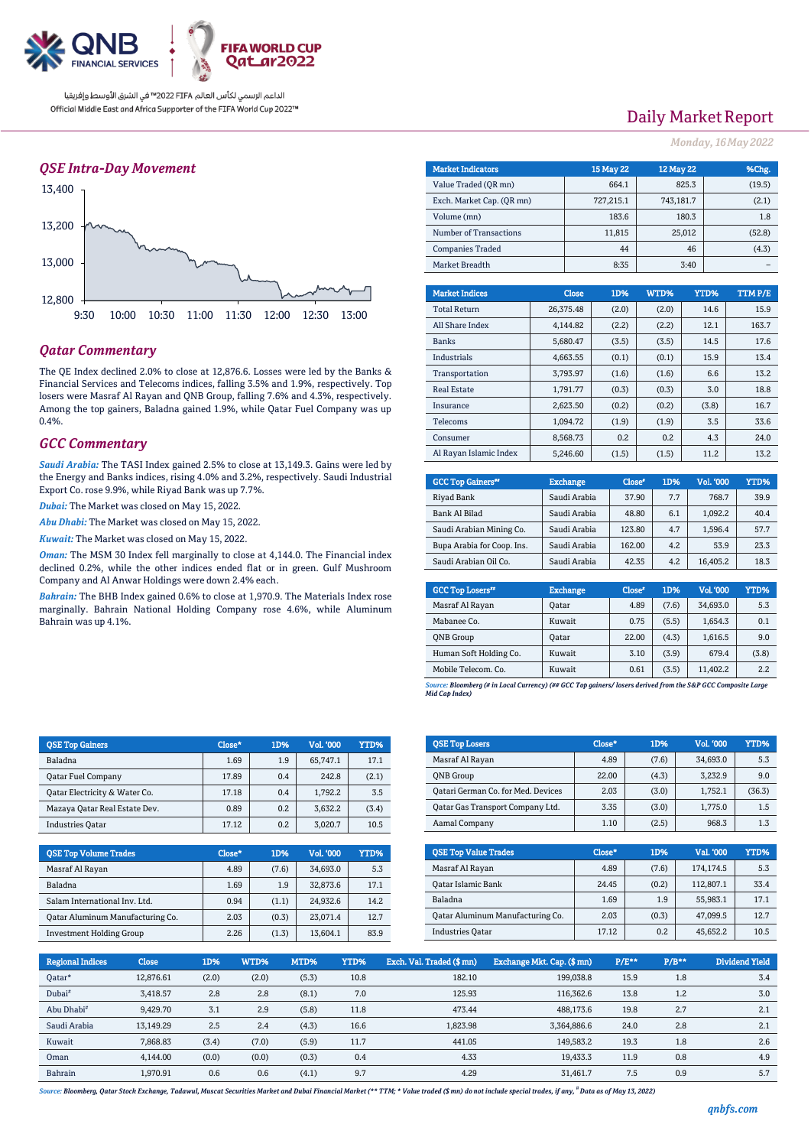

الداعم الرسمي لكأس العالم PIFA™ في الشرق الأوسط وإفريقيا Official Middle East and Africa Supporter of the FIFA World Cup 2022™

### *QSE Intra-Day Movement*



### *Qatar Commentary*

The QE Index declined 2.0% to close at 12,876.6. Losses were led by the Banks & Financial Services and Telecoms indices, falling 3.5% and 1.9%, respectively. Top losers were Masraf Al Rayan and QNB Group, falling 7.6% and 4.3%, respectively. Among the top gainers, Baladna gained 1.9%, while Qatar Fuel Company was up 0.4%.

### *GCC Commentary*

*Saudi Arabia:* The TASI Index gained 2.5% to close at 13,149.3. Gains were led by the Energy and Banks indices, rising 4.0% and 3.2%, respectively. Saudi Industrial Export Co. rose 9.9%, while Riyad Bank was up 7.7%.

*Dubai:* The Market was closed on May 15, 2022.

*Abu Dhabi:* The Market was closed on May 15, 2022.

*Kuwait:* The Market was closed on May 15, 2022.

*Oman:* The MSM 30 Index fell marginally to close at 4,144.0. The Financial index declined 0.2%, while the other indices ended flat or in green. Gulf Mushroom Company and Al Anwar Holdings were down 2.4% each.

*Bahrain:* The BHB Index gained 0.6% to close at 1,970.9. The Materials Index rose marginally. Bahrain National Holding Company rose 4.6%, while Aluminum Bahrain was up 4.1%.

| <b>Daily Market Report</b> |  |
|----------------------------|--|
|                            |  |

*Monday, 16May 2022*

| <b>Market Indicators</b>  |              | <b>15 May 22</b> | <b>12 May 22</b> |        | %Chg.  |  |
|---------------------------|--------------|------------------|------------------|--------|--------|--|
| Value Traded (QR mn)      |              | 664.1            |                  | 825.3  | (19.5) |  |
| Exch. Market Cap. (QR mn) |              | 727,215.1        | 743,181.7        |        | (2.1)  |  |
| Volume (mn)               |              | 183.6            |                  | 180.3  | 1.8    |  |
| Number of Transactions    |              | 11,815           |                  | 25,012 | (52.8) |  |
| <b>Companies Traded</b>   |              | 44               |                  | 46     | (4.3)  |  |
| Market Breadth            |              | 8:35             |                  | 3:40   |        |  |
|                           |              |                  |                  |        |        |  |
| <b>Market Indices</b>     | <b>Close</b> | 1D%              | WTD%             | YTD%   | TTMP/E |  |
| <b>Total Return</b>       | 26.375.48    | (2.0)            | (2.0)            | 14.6   | 15.9   |  |
| All Share Index           | 4.144.82     | (2.2)            | (2.2)            | 12.1   | 163.7  |  |
| <b>Banks</b>              | 5.680.47     | (3.5)            | (3.5)            | 14.5   | 17.6   |  |
| <b>Industrials</b>        | 4.663.55     | (0.1)            | (0.1)            | 15.9   | 13.4   |  |
| Transportation            | 3.793.97     | (1.6)            | (1.6)            | 6.6    | 13.2   |  |
| <b>Real Estate</b>        | 1,791.77     | (0.3)            | (0.3)            | 3.0    | 18.8   |  |
| Insurance                 | 2,623.50     | (0.2)            | (0.2)            | (3.8)  | 16.7   |  |
| <b>Telecoms</b>           | 1.094.72     | (1.9)            | (1.9)            | 3.5    | 33.6   |  |
| Consumer                  | 8,568.73     | 0.2              | 0.2              | 4.3    | 24.0   |  |
| Al Rayan Islamic Index    | 5,246.60     | (1.5)            | (1.5)            | 11.2   | 13.2   |  |

| <b>GCC Top Gainers**</b>   | <b>Exchange</b> | Close* | 1D% | Vol. '000 | YTD% |
|----------------------------|-----------------|--------|-----|-----------|------|
| Riyad Bank                 | Saudi Arabia    | 37.90  | 77  | 768.7     | 39.9 |
| Bank Al Bilad              | Saudi Arabia    | 48.80  | 6.1 | 1.092.2   | 40.4 |
| Saudi Arabian Mining Co.   | Saudi Arabia    | 123.80 | 4.7 | 1.596.4   | 57.7 |
| Bupa Arabia for Coop. Ins. | Saudi Arabia    | 162.00 | 4.2 | 53.9      | 23.3 |
| Saudi Arabian Oil Co.      | Saudi Arabia    | 42.35  | 4.2 | 16.405.2  | 18.3 |

| <b>GCC Top Losers"</b> | <b>Exchange</b> | Close <sup>®</sup> | 1D%   | <b>Vol.'000</b> | YTD%  |
|------------------------|-----------------|--------------------|-------|-----------------|-------|
| Masraf Al Rayan        | Oatar           | 4.89               | (7.6) | 34,693.0        | 5.3   |
| Mabanee Co.            | Kuwait          | 0.75               | (5.5) | 1,654.3         | 0.1   |
| <b>ONB</b> Group       | Oatar           | 22.00              | (4.3) | 1,616.5         | 9.0   |
| Human Soft Holding Co. | Kuwait          | 3.10               | (3.9) | 679.4           | (3.8) |
| Mobile Telecom. Co.    | Kuwait          | 0.61               | (3.5) | 11.402.2        | 2.2   |

*Source: Bloomberg (# in Local Currency) (## GCC Top gainers/ losers derived from the S&P GCC Composite Large Mid Cap Index)*

| <b>OSE Top Gainers</b>        | Close* | 1D% | Vol. '000 | YTD%  |
|-------------------------------|--------|-----|-----------|-------|
| Baladna                       | 1.69   | 1.9 | 65.747.1  | 17.1  |
| <b>Qatar Fuel Company</b>     | 17.89  | 0.4 | 242.8     | (2.1) |
| Oatar Electricity & Water Co. | 17.18  | 0.4 | 1.792.2   | 3.5   |
| Mazaya Qatar Real Estate Dev. | 0.89   | 0.2 | 3.632.2   | (3.4) |
| <b>Industries Oatar</b>       | 17.12  | 0.2 | 3.020.7   | 10.5  |

| <b>OSE Top Volume Trades</b>            | Close* | 1D%   | <b>Vol. '000</b> | YTD% |
|-----------------------------------------|--------|-------|------------------|------|
| Masraf Al Rayan                         | 4.89   | (7.6) | 34,693.0         | 5.3  |
| Baladna                                 | 1.69   | 1.9   | 32.873.6         | 17.1 |
| Salam International Inv. Ltd.           | 0.94   | (1.1) | 24.932.6         | 14.2 |
| <b>Qatar Aluminum Manufacturing Co.</b> | 2.03   | (0.3) | 23.071.4         | 12.7 |
| <b>Investment Holding Group</b>         | 2.26   | (1.3) | 13,604.1         | 83.9 |

| <b>QSE Top Losers</b>              | $Close*$ | 1D%   | Vol. '000 | YTD%   |
|------------------------------------|----------|-------|-----------|--------|
| Masraf Al Rayan                    | 4.89     | (7.6) | 34.693.0  | 5.3    |
| <b>ONB</b> Group                   | 22.00    | (4.3) | 3.232.9   | 9.0    |
| Qatari German Co. for Med. Devices | 2.03     | (3.0) | 1.752.1   | (36.3) |
| Qatar Gas Transport Company Ltd.   | 3.35     | (3.0) | 1.775.0   | 1.5    |
| Aamal Company                      | 1.10     | (2.5) | 968.3     | 1.3    |

| <b>QSE Top Value Trades</b>      | Close* | 1D%   | <b>Val. '000</b> | YTD% |
|----------------------------------|--------|-------|------------------|------|
| Masraf Al Rayan                  | 4.89   | (7.6) | 174.174.5        | 5.3  |
| <b>Oatar Islamic Bank</b>        | 24.45  | (0.2) | 112.807.1        | 33.4 |
| Baladna                          | 1.69   | 1.9   | 55,983.1         | 17.1 |
| Qatar Aluminum Manufacturing Co. | 2.03   | (0.3) | 47.099.5         | 12.7 |
| <b>Industries Oatar</b>          | 17.12  | 0.2   | 45,652.2         | 10.5 |

| <b>Regional Indices</b> | <b>Close</b> | 1D%   | WTD%  | MTD%  | <b>YTD%</b> | Exch. Val. Traded (\$ mn) | Exchange Mkt. Cap. (\$ mn) | $P/E***$ | $P/B**$ | Dividend Yield |
|-------------------------|--------------|-------|-------|-------|-------------|---------------------------|----------------------------|----------|---------|----------------|
| Oatar*                  | 12,876.61    | (2.0) | (2.0) | (5.3) | 10.8        | 182.10                    | 199,038.8                  | 15.9     | 1.8     | 3.4            |
| Dubai <sup>#</sup>      | 3.418.57     | 2.8   | 2.8   | (8.1) | 7.0         | 125.93                    | 116,362.6                  | 13.8     | 1.2     | 3.0            |
| Abu Dhabi <sup>#</sup>  | 9,429.70     | 3.1   | 2.9   | (5.8) | 11.8        | 473.44                    | 488,173.6                  | 19.8     | 2.7     | 2.1            |
| Saudi Arabia            | 13,149.29    | 2.5   | 2.4   | (4.3) | 16.6        | 1.823.98                  | 3,364,886.6                | 24.0     | 2.8     | 2.1            |
| Kuwait                  | 7,868.83     | (3.4) | (7.0) | (5.9) | 11.7        | 441.05                    | 149.583.2                  | 19.3     | 1.8     | 2.6            |
| Oman                    | 4,144.00     | (0.0) | (0.0) | (0.3) | 0.4         | 4.33                      | 19.433.3                   | 11.9     | 0.8     | 4.9            |
| Bahrain                 | 1.970.91     | 0.6   | 0.6   | (4.1) | 9.7         | 4.29                      | 31.461.7                   | 7.5      | 0.9     | 5.7            |

*Source: Bloomberg, Qatar Stock Exchange, Tadawul, Muscat Securities Market and Dubai Financial Market (\*\* TTM; \* Value traded (\$ mn) do not include special trades, if any,*  # *Data as of May 13, 2022)*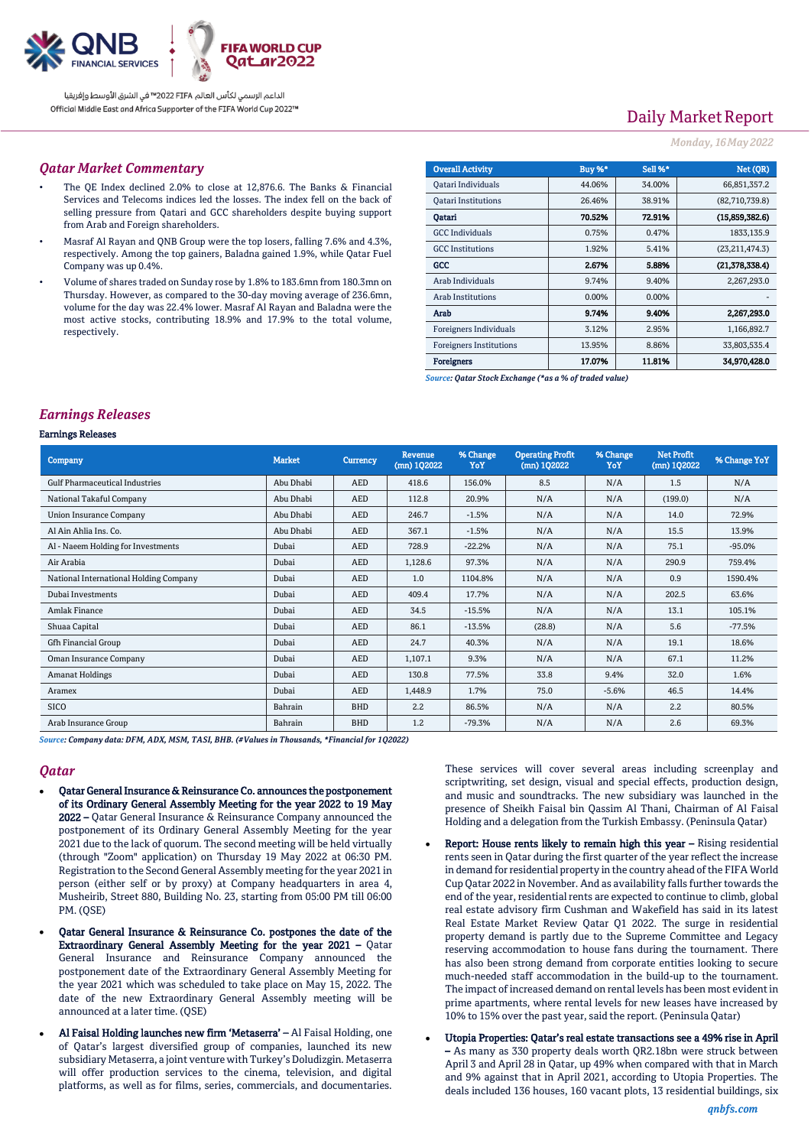

الداعم الرسمى لكأس العالم PIFA™ في الشرق الأوسط وإفريقيا Official Middle East and Africa Supporter of the FIFA World Cup 2022™

# Daily Market Report

#### *Monday, 16May 2022*

#### *Qatar Market Commentary*

- The QE Index declined 2.0% to close at 12,876.6. The Banks & Financial Services and Telecoms indices led the losses. The index fell on the back of selling pressure from Qatari and GCC shareholders despite buying support from Arab and Foreign shareholders.
- Masraf Al Rayan and QNB Group were the top losers, falling 7.6% and 4.3%, respectively. Among the top gainers, Baladna gained 1.9%, while Qatar Fuel Company was up 0.4%.
- Volume of shares traded on Sunday rose by 1.8% to 183.6mn from 180.3mn on Thursday. However, as compared to the 30-day moving average of 236.6mn, volume for the day was 22.4% lower. Masraf Al Rayan and Baladna were the most active stocks, contributing 18.9% and 17.9% to the total volume, respectively.

| <b>Overall Activity</b>        | Buy %* | Sell %* | Net (QR)         |
|--------------------------------|--------|---------|------------------|
| Qatari Individuals             | 44.06% | 34.00%  | 66,851,357.2     |
| <b>Oatari Institutions</b>     | 26.46% | 38.91%  | (82,710,739.8)   |
| Oatari                         | 70.52% | 72.91%  | (15,859,382.6)   |
| <b>GCC</b> Individuals         | 0.75%  | 0.47%   | 1833, 135.9      |
| <b>GCC</b> Institutions        | 1.92%  | 5.41%   | (23, 211, 474.3) |
| GCC                            | 2.67%  | 5.88%   | (21.378.338.4)   |
| Arab Individuals               | 9.74%  | 9.40%   | 2,267,293.0      |
| Arab Institutions              | 0.00%  | 0.00%   |                  |
| Arab                           | 9.74%  | 9.40%   | 2.267,293.0      |
| Foreigners Individuals         | 3.12%  | 2.95%   | 1,166,892.7      |
| <b>Foreigners Institutions</b> | 13.95% | 8.86%   | 33,803,535.4     |
| <b>Foreigners</b>              | 17.07% | 11.81%  | 34.970,428.0     |

*Source: Qatar Stock Exchange (\*as a % of traded value)*

### *Earnings Releases*

#### Earnings Releases

| <b>Company</b>                         | <b>Market</b> | <b>Currency</b> | <b>Revenue</b><br>$(mn)$ 102022 | % Change<br>YoY | <b>Operating Profit</b><br>$(mn)$ 102022 | % Change<br>YoY | <b>Net Profit</b><br>(mn) 1Q2022 | % Change YoY |
|----------------------------------------|---------------|-----------------|---------------------------------|-----------------|------------------------------------------|-----------------|----------------------------------|--------------|
| <b>Gulf Pharmaceutical Industries</b>  | Abu Dhabi     | AED             | 418.6                           | 156.0%          | 8.5                                      | N/A             | 1.5                              | N/A          |
| National Takaful Company               | Abu Dhabi     | AED             | 112.8                           | 20.9%           | N/A                                      | N/A             | (199.0)                          | N/A          |
| <b>Union Insurance Company</b>         | Abu Dhabi     | AED             | 246.7                           | $-1.5%$         | N/A                                      | N/A             | 14.0                             | 72.9%        |
| Al Ain Ahlia Ins. Co.                  | Abu Dhabi     | AED             | 367.1                           | $-1.5%$         | N/A                                      | N/A             | 15.5                             | 13.9%        |
| Al - Naeem Holding for Investments     | Dubai         | AED             | 728.9                           | $-22.2%$        | N/A                                      | N/A             | 75.1                             | $-95.0%$     |
| Air Arabia                             | Dubai         | <b>AED</b>      | 1,128.6                         | 97.3%           | N/A                                      | N/A             | 290.9                            | 759.4%       |
| National International Holding Company | Dubai         | AED             | 1.0                             | 1104.8%         | N/A                                      | N/A             | 0.9                              | 1590.4%      |
| Dubai Investments                      | Dubai         | AED             | 409.4                           | 17.7%           | N/A                                      | N/A             | 202.5                            | 63.6%        |
| <b>Amlak Finance</b>                   | Dubai         | <b>AED</b>      | 34.5                            | $-15.5%$        | N/A                                      | N/A             | 13.1                             | 105.1%       |
| Shuaa Capital                          | Dubai         | AED             | 86.1                            | $-13.5%$        | (28.8)                                   | N/A             | 5.6                              | $-77.5%$     |
| Gfh Financial Group                    | Dubai         | AED             | 24.7                            | 40.3%           | N/A                                      | N/A             | 19.1                             | 18.6%        |
| Oman Insurance Company                 | Dubai         | AED             | 1,107.1                         | 9.3%            | N/A                                      | N/A             | 67.1                             | 11.2%        |
| <b>Amanat Holdings</b>                 | Dubai         | AED             | 130.8                           | 77.5%           | 33.8                                     | 9.4%            | 32.0                             | 1.6%         |
| Aramex                                 | Dubai         | AED             | 1,448.9                         | 1.7%            | 75.0                                     | $-5.6%$         | 46.5                             | 14.4%        |
| SICO                                   | Bahrain       | <b>BHD</b>      | 2.2                             | 86.5%           | N/A                                      | N/A             | 2.2                              | 80.5%        |
| Arab Insurance Group                   | Bahrain       | <b>BHD</b>      | 1.2                             | $-79.3%$        | N/A                                      | N/A             | 2.6                              | 69.3%        |

*Source: Company data: DFM, ADX, MSM, TASI, BHB. (#Values in Thousands, \*Financial for 1Q2022)*

### *Qatar*

- Qatar General Insurance & Reinsurance Co. announces the postponement of its Ordinary General Assembly Meeting for the year 2022 to 19 May 2022 – Qatar General Insurance & Reinsurance Company announced the postponement of its Ordinary General Assembly Meeting for the year 2021 due to the lack of quorum. The second meeting will be held virtually (through "Zoom" application) on Thursday 19 May 2022 at 06:30 PM. Registration to the Second General Assembly meeting for the year 2021 in person (either self or by proxy) at Company headquarters in area 4, Musheirib, Street 880, Building No. 23, starting from 05:00 PM till 06:00 PM. (QSE)
- Qatar General Insurance & Reinsurance Co. postpones the date of the Extraordinary General Assembly Meeting for the year 2021 – Qatar General Insurance and Reinsurance Company announced the postponement date of the Extraordinary General Assembly Meeting for the year 2021 which was scheduled to take place on May 15, 2022. The date of the new Extraordinary General Assembly meeting will be announced at a later time. (QSE)
- Al Faisal Holding launches new firm 'Metaserra' Al Faisal Holding, one of Qatar's largest diversified group of companies, launched its new subsidiary Metaserra, a joint venture with Turkey's Doludizgin. Metaserra will offer production services to the cinema, television, and digital platforms, as well as for films, series, commercials, and documentaries.

These services will cover several areas including screenplay and scriptwriting, set design, visual and special effects, production design, and music and soundtracks. The new subsidiary was launched in the presence of Sheikh Faisal bin Qassim Al Thani, Chairman of Al Faisal Holding and a delegation from the Turkish Embassy. (Peninsula Qatar)

- Report: House rents likely to remain high this year Rising residential rents seen in Qatar during the first quarter of the year reflect the increase in demand for residential property in the country ahead of the FIFA World Cup Qatar 2022 in November. And as availability falls further towards the end of the year, residential rents are expected to continue to climb, global real estate advisory firm Cushman and Wakefield has said in its latest Real Estate Market Review Qatar Q1 2022. The surge in residential property demand is partly due to the Supreme Committee and Legacy reserving accommodation to house fans during the tournament. There has also been strong demand from corporate entities looking to secure much-needed staff accommodation in the build-up to the tournament. The impact of increased demand on rental levels has been most evident in prime apartments, where rental levels for new leases have increased by 10% to 15% over the past year, said the report. (Peninsula Qatar)
- Utopia Properties: Qatar's real estate transactions see a 49% rise in April – As many as 330 property deals worth QR2.18bn were struck between April 3 and April 28 in Qatar, up 49% when compared with that in March and 9% against that in April 2021, according to Utopia Properties. The deals included 136 houses, 160 vacant plots, 13 residential buildings, six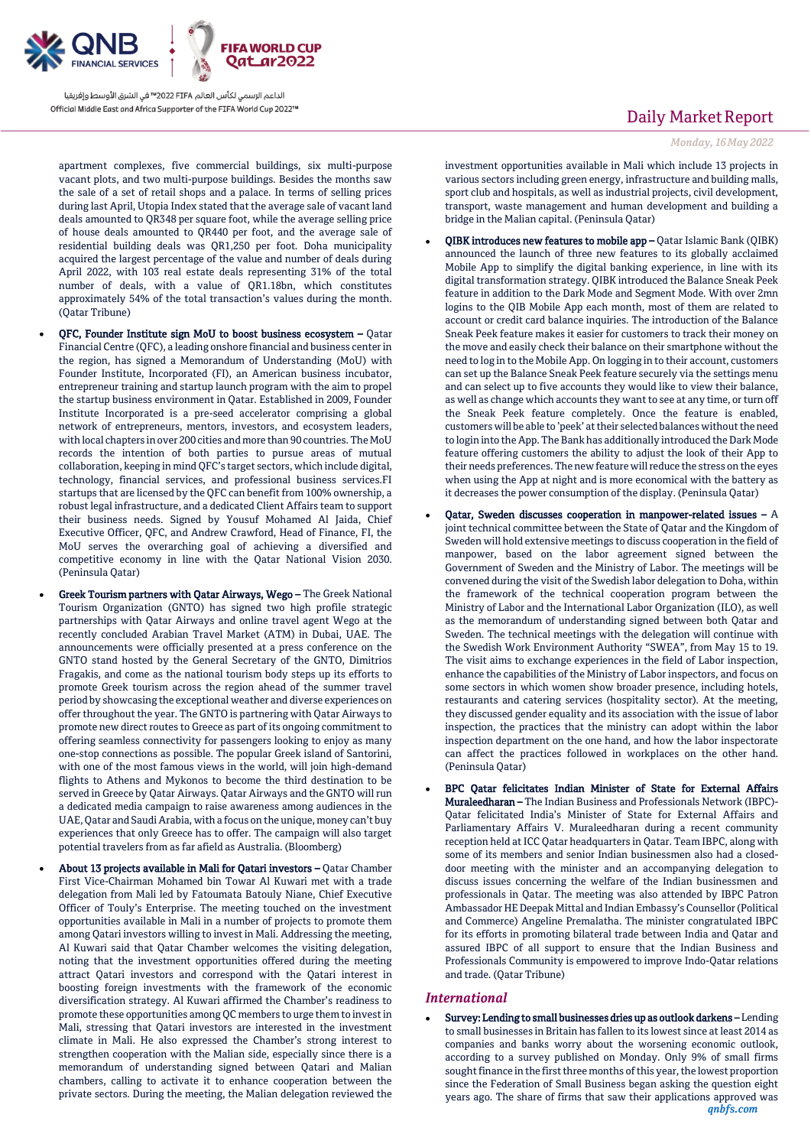

الداعم الرسمي لكأس العالم PIFA™ في الشرق الأوسط وإفريقيا Official Middle East and Africa Supporter of the FIFA World Cup 2022™

apartment complexes, five commercial buildings, six multi-purpose vacant plots, and two multi-purpose buildings. Besides the months saw the sale of a set of retail shops and a palace. In terms of selling prices during last April, Utopia Index stated that the average sale of vacant land deals amounted to QR348 per square foot, while the average selling price of house deals amounted to QR440 per foot, and the average sale of residential building deals was QR1,250 per foot. Doha municipality acquired the largest percentage of the value and number of deals during April 2022, with 103 real estate deals representing 31% of the total number of deals, with a value of QR1.18bn, which constitutes approximately 54% of the total transaction's values during the month. (Qatar Tribune)

- QFC, Founder Institute sign MoU to boost business ecosystem Qatar Financial Centre (QFC), a leading onshore financial and business center in the region, has signed a Memorandum of Understanding (MoU) with Founder Institute, Incorporated (FI), an American business incubator, entrepreneur training and startup launch program with the aim to propel the startup business environment in Qatar. Established in 2009, Founder Institute Incorporated is a pre-seed accelerator comprising a global network of entrepreneurs, mentors, investors, and ecosystem leaders, with local chapters in over 200 cities and more than 90 countries. The MoU records the intention of both parties to pursue areas of mutual collaboration, keeping in mind QFC's target sectors, which include digital, technology, financial services, and professional business services.FI startups that are licensed by the QFC can benefit from 100% ownership, a robust legal infrastructure, and a dedicated Client Affairs team to support their business needs. Signed by Yousuf Mohamed Al Jaida, Chief Executive Officer, QFC, and Andrew Crawford, Head of Finance, FI, the MoU serves the overarching goal of achieving a diversified and competitive economy in line with the Qatar National Vision 2030. (Peninsula Qatar)
- Greek Tourism partners with Qatar Airways, Wego The Greek National Tourism Organization (GNTO) has signed two high profile strategic partnerships with Qatar Airways and online travel agent Wego at the recently concluded Arabian Travel Market (ATM) in Dubai, UAE. The announcements were officially presented at a press conference on the GNTO stand hosted by the General Secretary of the GNTO, Dimitrios Fragakis, and come as the national tourism body steps up its efforts to promote Greek tourism across the region ahead of the summer travel period by showcasing the exceptional weather and diverse experiences on offer throughout the year. The GNTO is partnering with Qatar Airways to promote new direct routes to Greece as part of its ongoing commitment to offering seamless connectivity for passengers looking to enjoy as many one-stop connections as possible. The popular Greek island of Santorini, with one of the most famous views in the world, will join high-demand flights to Athens and Mykonos to become the third destination to be served in Greece by Qatar Airways. Qatar Airways and the GNTO will run a dedicated media campaign to raise awareness among audiences in the UAE, Qatar and Saudi Arabia, with a focus on the unique, money can't buy experiences that only Greece has to offer. The campaign will also target potential travelers from as far afield as Australia. (Bloomberg)
- About 13 projects available in Mali for Qatari investors Qatar Chamber First Vice-Chairman Mohamed bin Towar Al Kuwari met with a trade delegation from Mali led by Fatoumata Batouly Niane, Chief Executive Officer of Touly's Enterprise. The meeting touched on the investment opportunities available in Mali in a number of projects to promote them among Qatari investors willing to invest in Mali. Addressing the meeting, Al Kuwari said that Qatar Chamber welcomes the visiting delegation, noting that the investment opportunities offered during the meeting attract Qatari investors and correspond with the Qatari interest in boosting foreign investments with the framework of the economic diversification strategy. Al Kuwari affirmed the Chamber's readiness to promote these opportunities among QC members to urge them to invest in Mali, stressing that Qatari investors are interested in the investment climate in Mali. He also expressed the Chamber's strong interest to strengthen cooperation with the Malian side, especially since there is a memorandum of understanding signed between Qatari and Malian chambers, calling to activate it to enhance cooperation between the private sectors. During the meeting, the Malian delegation reviewed the

# Daily Market Report

*Monday, 16May 2022*

investment opportunities available in Mali which include 13 projects in various sectors including green energy, infrastructure and building malls, sport club and hospitals, as well as industrial projects, civil development, transport, waste management and human development and building a bridge in the Malian capital. (Peninsula Qatar)

- QIBK introduces new features to mobile app Qatar Islamic Bank (QIBK) announced the launch of three new features to its globally acclaimed Mobile App to simplify the digital banking experience, in line with its digital transformation strategy. QIBK introduced the Balance Sneak Peek feature in addition to the Dark Mode and Segment Mode. With over 2mn logins to the QIB Mobile App each month, most of them are related to account or credit card balance inquiries. The introduction of the Balance Sneak Peek feature makes it easier for customers to track their money on the move and easily check their balance on their smartphone without the need to log in to the Mobile App. On logging in to their account, customers can set up the Balance Sneak Peek feature securely via the settings menu and can select up to five accounts they would like to view their balance, as well as change which accounts they want to see at any time, or turn off the Sneak Peek feature completely. Once the feature is enabled, customers will be able to 'peek' at their selected balances without the need to login into the App. The Bank has additionally introduced the Dark Mode feature offering customers the ability to adjust the look of their App to their needs preferences. The new feature will reduce the stress on the eyes when using the App at night and is more economical with the battery as it decreases the power consumption of the display. (Peninsula Qatar)
- Qatar, Sweden discusses cooperation in manpower-related issues A joint technical committee between the State of Qatar and the Kingdom of Sweden will hold extensive meetings to discuss cooperation in the field of manpower, based on the labor agreement signed between the Government of Sweden and the Ministry of Labor. The meetings will be convened during the visit of the Swedish labor delegation to Doha, within the framework of the technical cooperation program between the Ministry of Labor and the International Labor Organization (ILO), as well as the memorandum of understanding signed between both Qatar and Sweden. The technical meetings with the delegation will continue with the Swedish Work Environment Authority "SWEA", from May 15 to 19. The visit aims to exchange experiences in the field of Labor inspection, enhance the capabilities of the Ministry of Labor inspectors, and focus on some sectors in which women show broader presence, including hotels, restaurants and catering services (hospitality sector). At the meeting, they discussed gender equality and its association with the issue of labor inspection, the practices that the ministry can adopt within the labor inspection department on the one hand, and how the labor inspectorate can affect the practices followed in workplaces on the other hand. (Peninsula Qatar)
- BPC Qatar felicitates Indian Minister of State for External Affairs Muraleedharan – The Indian Business and Professionals Network (IBPC)- Qatar felicitated India's Minister of State for External Affairs and Parliamentary Affairs V. Muraleedharan during a recent community reception held at ICC Qatar headquarters in Qatar. Team IBPC, along with some of its members and senior Indian businessmen also had a closeddoor meeting with the minister and an accompanying delegation to discuss issues concerning the welfare of the Indian businessmen and professionals in Qatar. The meeting was also attended by IBPC Patron Ambassador HE Deepak Mittal and Indian Embassy's Counsellor (Political and Commerce) Angeline Premalatha. The minister congratulated IBPC for its efforts in promoting bilateral trade between India and Qatar and assured IBPC of all support to ensure that the Indian Business and Professionals Community is empowered to improve Indo-Qatar relations and trade. (Qatar Tribune)

### *International*

*qnbfs.com* Survey: Lending to small businesses dries up as outlook darkens – Lending to small businesses in Britain has fallen to its lowest since at least 2014 as companies and banks worry about the worsening economic outlook, according to a survey published on Monday. Only 9% of small firms sought finance in the first three months of this year, the lowest proportion since the Federation of Small Business began asking the question eight years ago. The share of firms that saw their applications approved was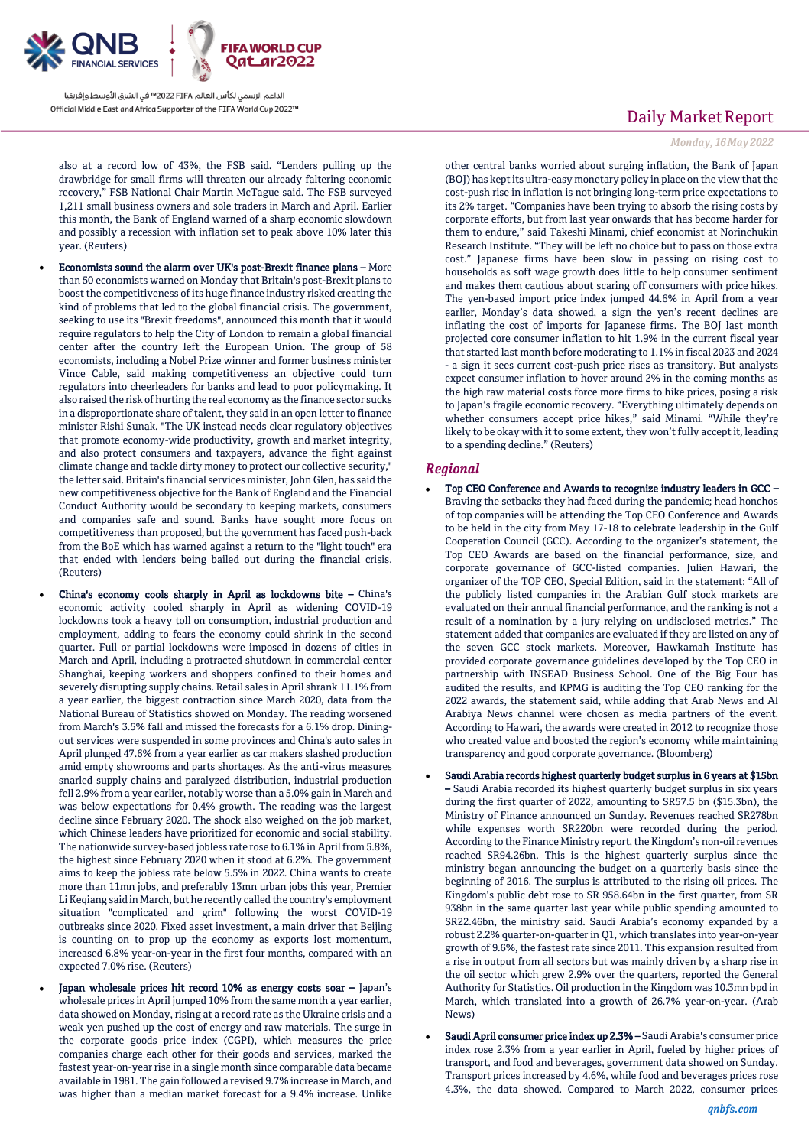

الداعم الرسمي لكأس العالم PIFA≤™ في الشرق الأوسط وإفريقيا Official Middle East and Africa Supporter of the FIFA World Cup 2022™

also at a record low of 43%, the FSB said. "Lenders pulling up the drawbridge for small firms will threaten our already faltering economic recovery," FSB National Chair Martin McTague said. The FSB surveyed 1,211 small business owners and sole traders in March and April. Earlier this month, the Bank of England warned of a sharp economic slowdown and possibly a recession with inflation set to peak above 10% later this year. (Reuters)

- Economists sound the alarm over UK's post-Brexit finance plans More than 50 economists warned on Monday that Britain's post-Brexit plans to boost the competitiveness of its huge finance industry risked creating the kind of problems that led to the global financial crisis. The government, seeking to use its "Brexit freedoms", announced this month that it would require regulators to help the City of London to remain a global financial center after the country left the European Union. The group of 58 economists, including a Nobel Prize winner and former business minister Vince Cable, said making competitiveness an objective could turn regulators into cheerleaders for banks and lead to poor policymaking. It also raised the risk of hurting the real economy as the finance sector sucks in a disproportionate share of talent, they said in an open letter to finance minister Rishi Sunak. "The UK instead needs clear regulatory objectives that promote economy-wide productivity, growth and market integrity, and also protect consumers and taxpayers, advance the fight against climate change and tackle dirty money to protect our collective security," the letter said. Britain's financial services minister, John Glen, has said the new competitiveness objective for the Bank of England and the Financial Conduct Authority would be secondary to keeping markets, consumers and companies safe and sound. Banks have sought more focus on competitiveness than proposed, but the government has faced push-back from the BoE which has warned against a return to the "light touch" era that ended with lenders being bailed out during the financial crisis. (Reuters)
- China's economy cools sharply in April as lockdowns bite China's economic activity cooled sharply in April as widening COVID-19 lockdowns took a heavy toll on consumption, industrial production and employment, adding to fears the economy could shrink in the second quarter. Full or partial lockdowns were imposed in dozens of cities in March and April, including a protracted shutdown in commercial center Shanghai, keeping workers and shoppers confined to their homes and severely disrupting supply chains. Retail sales in April shrank 11.1% from a year earlier, the biggest contraction since March 2020, data from the National Bureau of Statistics showed on Monday. The reading worsened from March's 3.5% fall and missed the forecasts for a 6.1% drop. Diningout services were suspended in some provinces and China's auto sales in April plunged 47.6% from a year earlier as car makers slashed production amid empty showrooms and parts shortages. As the anti-virus measures snarled supply chains and paralyzed distribution, industrial production fell 2.9% from a year earlier, notably worse than a 5.0% gain in March and was below expectations for 0.4% growth. The reading was the largest decline since February 2020. The shock also weighed on the job market, which Chinese leaders have prioritized for economic and social stability. The nationwide survey-based jobless rate rose to 6.1% in April from 5.8%, the highest since February 2020 when it stood at 6.2%. The government aims to keep the jobless rate below 5.5% in 2022. China wants to create more than 11mn jobs, and preferably 13mn urban jobs this year, Premier Li Keqiang said in March, but he recently called the country's employment situation "complicated and grim" following the worst COVID-19 outbreaks since 2020. Fixed asset investment, a main driver that Beijing is counting on to prop up the economy as exports lost momentum, increased 6.8% year-on-year in the first four months, compared with an expected 7.0% rise. (Reuters)
- Japan wholesale prices hit record 10% as energy costs soar Japan's wholesale prices in April jumped 10% from the same month a year earlier, data showed on Monday, rising at a record rate as the Ukraine crisis and a weak yen pushed up the cost of energy and raw materials. The surge in the corporate goods price index (CGPI), which measures the price companies charge each other for their goods and services, marked the fastest year-on-year rise in a single month since comparable data became available in 1981. The gain followed a revised 9.7% increase in March, and was higher than a median market forecast for a 9.4% increase. Unlike

# Daily Market Report

### *Monday, 16May 2022*

other central banks worried about surging inflation, the Bank of Japan (BOJ) has kept its ultra-easy monetary policy in place on the view that the cost-push rise in inflation is not bringing long-term price expectations to its 2% target. "Companies have been trying to absorb the rising costs by corporate efforts, but from last year onwards that has become harder for them to endure," said Takeshi Minami, chief economist at Norinchukin Research Institute. "They will be left no choice but to pass on those extra cost." Japanese firms have been slow in passing on rising cost to households as soft wage growth does little to help consumer sentiment and makes them cautious about scaring off consumers with price hikes. The yen-based import price index jumped 44.6% in April from a year earlier, Monday's data showed, a sign the yen's recent declines are inflating the cost of imports for Japanese firms. The BOJ last month projected core consumer inflation to hit 1.9% in the current fiscal year that started last month before moderating to 1.1% in fiscal 2023 and 2024 - a sign it sees current cost-push price rises as transitory. But analysts expect consumer inflation to hover around 2% in the coming months as the high raw material costs force more firms to hike prices, posing a risk to Japan's fragile economic recovery. "Everything ultimately depends on whether consumers accept price hikes," said Minami. "While they're likely to be okay with it to some extent, they won't fully accept it, leading to a spending decline." (Reuters)

### *Regional*

- Top CEO Conference and Awards to recognize industry leaders in GCC Braving the setbacks they had faced during the pandemic; head honchos of top companies will be attending the Top CEO Conference and Awards to be held in the city from May 17-18 to celebrate leadership in the Gulf Cooperation Council (GCC). According to the organizer's statement, the Top CEO Awards are based on the financial performance, size, and corporate governance of GCC-listed companies. Julien Hawari, the organizer of the TOP CEO, Special Edition, said in the statement: "All of the publicly listed companies in the Arabian Gulf stock markets are evaluated on their annual financial performance, and the ranking is not a result of a nomination by a jury relying on undisclosed metrics." The statement added that companies are evaluated if they are listed on any of the seven GCC stock markets. Moreover, Hawkamah Institute has provided corporate governance guidelines developed by the Top CEO in partnership with INSEAD Business School. One of the Big Four has audited the results, and KPMG is auditing the Top CEO ranking for the 2022 awards, the statement said, while adding that Arab News and Al Arabiya News channel were chosen as media partners of the event. According to Hawari, the awards were created in 2012 to recognize those who created value and boosted the region's economy while maintaining transparency and good corporate governance. (Bloomberg)
- Saudi Arabia records highest quarterly budget surplus in 6 years at \$15bn – Saudi Arabia recorded its highest quarterly budget surplus in six years during the first quarter of 2022, amounting to SR57.5 bn (\$15.3bn), the Ministry of Finance announced on Sunday. Revenues reached SR278bn while expenses worth SR220bn were recorded during the period. According to the Finance Ministry report, the Kingdom's non-oil revenues reached SR94.26bn. This is the highest quarterly surplus since the ministry began announcing the budget on a quarterly basis since the beginning of 2016. The surplus is attributed to the rising oil prices. The Kingdom's public debt rose to SR 958.64bn in the first quarter, from SR 938bn in the same quarter last year while public spending amounted to SR22.46bn, the ministry said. Saudi Arabia's economy expanded by a robust 2.2% quarter-on-quarter in Q1, which translates into year-on-year growth of 9.6%, the fastest rate since 2011. This expansion resulted from a rise in output from all sectors but was mainly driven by a sharp rise in the oil sector which grew 2.9% over the quarters, reported the General Authority for Statistics. Oil production in the Kingdom was 10.3mn bpd in March, which translated into a growth of 26.7% year-on-year. (Arab News)
- Saudi April consumer price index up 2.3% Saudi Arabia's consumer price index rose 2.3% from a year earlier in April, fueled by higher prices of transport, and food and beverages, government data showed on Sunday. Transport prices increased by 4.6%, while food and beverages prices rose 4.3%, the data showed. Compared to March 2022, consumer prices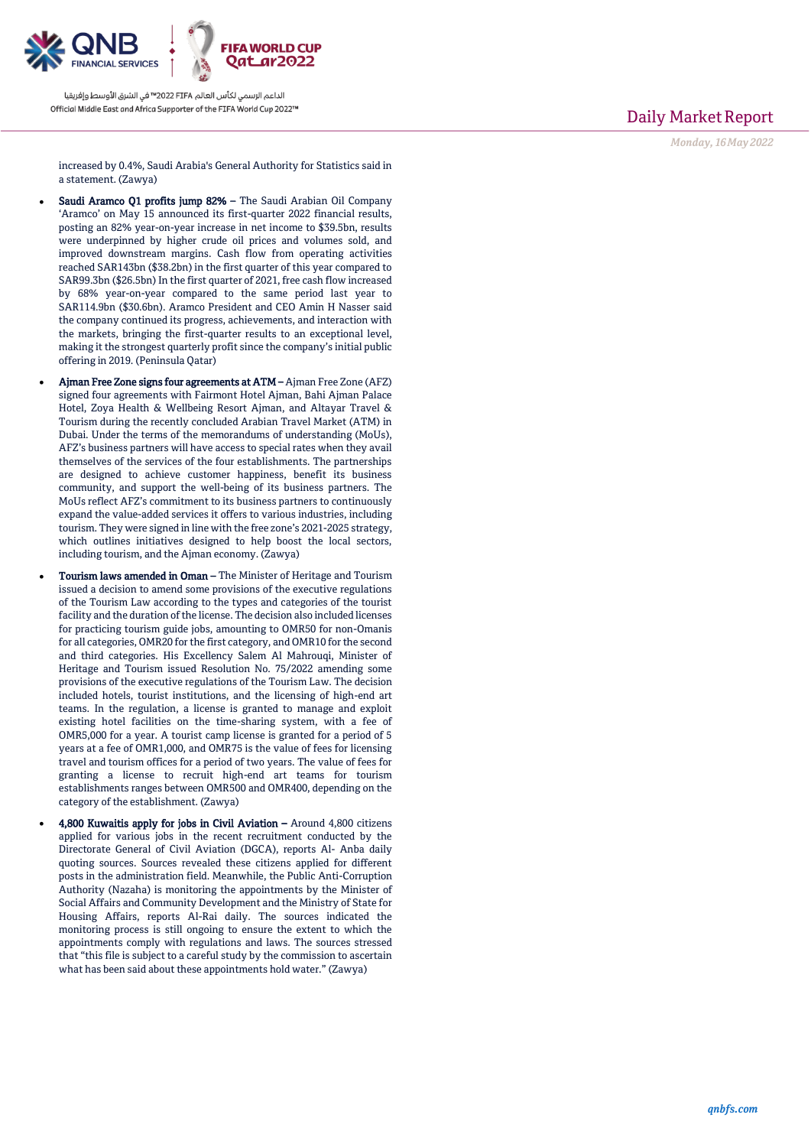

الداعم الرسمي لكأس العالم PIFA≤™ في الشرق الأوسط وإفريقيا Official Middle East and Africa Supporter of the FIFA World Cup 2022™

Daily Market Report

*Monday, 16May 2022*

increased by 0.4%, Saudi Arabia's General Authority for Statistics said in a statement. (Zawya)

- Saudi Aramco Q1 profits jump 82% The Saudi Arabian Oil Company 'Aramco' on May 15 announced its first-quarter 2022 financial results, posting an 82% year-on-year increase in net income to \$39.5bn, results were underpinned by higher crude oil prices and volumes sold, and improved downstream margins. Cash flow from operating activities reached SAR143bn (\$38.2bn) in the first quarter of this year compared to SAR99.3bn (\$26.5bn) In the first quarter of 2021, free cash flow increased by 68% year-on-year compared to the same period last year to SAR114.9bn (\$30.6bn). Aramco President and CEO Amin H Nasser said the company continued its progress, achievements, and interaction with the markets, bringing the first-quarter results to an exceptional level, making it the strongest quarterly profit since the company's initial public offering in 2019. (Peninsula Qatar)
- Ajman Free Zone signs four agreements at ATM Ajman Free Zone (AFZ) signed four agreements with Fairmont Hotel Ajman, Bahi Ajman Palace Hotel, Zoya Health & Wellbeing Resort Ajman, and Altayar Travel & Tourism during the recently concluded Arabian Travel Market (ATM) in Dubai. Under the terms of the memorandums of understanding (MoUs), AFZ's business partners will have access to special rates when they avail themselves of the services of the four establishments. The partnerships are designed to achieve customer happiness, benefit its business community, and support the well-being of its business partners. The MoUs reflect AFZ's commitment to its business partners to continuously expand the value-added services it offers to various industries, including tourism. They were signed in line with the free zone's 2021-2025 strategy, which outlines initiatives designed to help boost the local sectors, including tourism, and the Ajman economy. (Zawya)
- Tourism laws amended in Oman The Minister of Heritage and Tourism issued a decision to amend some provisions of the executive regulations of the Tourism Law according to the types and categories of the tourist facility and the duration of the license. The decision also included licenses for practicing tourism guide jobs, amounting to OMR50 for non-Omanis for all categories, OMR20 for the first category, and OMR10 for the second and third categories. His Excellency Salem Al Mahrouqi, Minister of Heritage and Tourism issued Resolution No. 75/2022 amending some provisions of the executive regulations of the Tourism Law. The decision included hotels, tourist institutions, and the licensing of high-end art teams. In the regulation, a license is granted to manage and exploit existing hotel facilities on the time-sharing system, with a fee of OMR5,000 for a year. A tourist camp license is granted for a period of 5 years at a fee of OMR1,000, and OMR75 is the value of fees for licensing travel and tourism offices for a period of two years. The value of fees for granting a license to recruit high-end art teams for tourism establishments ranges between OMR500 and OMR400, depending on the category of the establishment. (Zawya)
- 4,800 Kuwaitis apply for jobs in Civil Aviation Around 4,800 citizens applied for various jobs in the recent recruitment conducted by the Directorate General of Civil Aviation (DGCA), reports Al- Anba daily quoting sources. Sources revealed these citizens applied for different posts in the administration field. Meanwhile, the Public Anti-Corruption Authority (Nazaha) is monitoring the appointments by the Minister of Social Affairs and Community Development and the Ministry of State for Housing Affairs, reports Al-Rai daily. The sources indicated the monitoring process is still ongoing to ensure the extent to which the appointments comply with regulations and laws. The sources stressed that "this file is subject to a careful study by the commission to ascertain what has been said about these appointments hold water." (Zawya)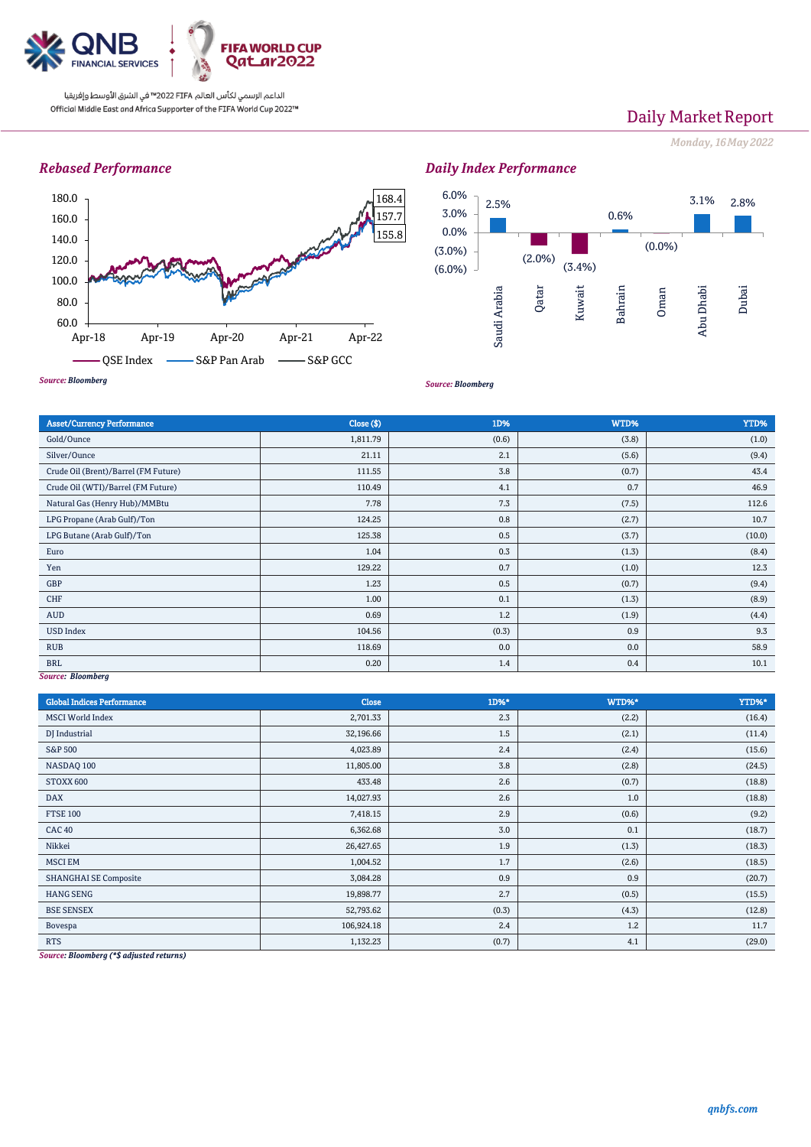

الداعم الرسمي لكأس العالم PIFA™ في الشرق الأوسط وإفريقيا Official Middle East and Africa Supporter of the FIFA World Cup 2022™

# Daily Market Report

*Monday, 16May 2022*

## *Rebased Performance*



#### 2.5% (2.0%) (3.4%) 0.6%  $(0.0\%)$ 3.1% 2.8% (6.0%) (3.0%) 0.0% 3.0% 6.0% Saudi Arabia Qatar Kuwait Bahrain Oman Abu Dhabi Dubai

*Source: Bloomberg*

*Daily Index Performance*

| <b>Asset/Currency Performance</b>    | Close ( \$) | 1D%   | WTD%  | YTD%   |
|--------------------------------------|-------------|-------|-------|--------|
| Gold/Ounce                           | 1,811.79    | (0.6) | (3.8) | (1.0)  |
| Silver/Ounce                         | 21.11       | 2.1   | (5.6) | (9.4)  |
| Crude Oil (Brent)/Barrel (FM Future) | 111.55      | 3.8   | (0.7) | 43.4   |
| Crude Oil (WTI)/Barrel (FM Future)   | 110.49      | 4.1   | 0.7   | 46.9   |
| Natural Gas (Henry Hub)/MMBtu        | 7.78        | 7.3   | (7.5) | 112.6  |
| LPG Propane (Arab Gulf)/Ton          | 124.25      | 0.8   | (2.7) | 10.7   |
| LPG Butane (Arab Gulf)/Ton           | 125.38      | 0.5   | (3.7) | (10.0) |
| Euro                                 | 1.04        | 0.3   | (1.3) | (8.4)  |
| Yen                                  | 129.22      | 0.7   | (1.0) | 12.3   |
| GBP                                  | 1.23        | 0.5   | (0.7) | (9.4)  |
| CHF                                  | 1.00        | 0.1   | (1.3) | (8.9)  |
| <b>AUD</b>                           | 0.69        | 1.2   | (1.9) | (4.4)  |
| <b>USD Index</b>                     | 104.56      | (0.3) | 0.9   | 9.3    |
| <b>RUB</b>                           | 118.69      | 0.0   | 0.0   | 58.9   |
| <b>BRL</b><br>Course Planmhorn       | 0.20        | 1.4   | 0.4   | 10.1   |

*Source: Bloomberg*

| <b>Global Indices Performance</b> | Close      | 1D%*  | WTD%* | YTD%*  |
|-----------------------------------|------------|-------|-------|--------|
| <b>MSCI</b> World Index           | 2,701.33   | 2.3   | (2.2) | (16.4) |
| DJ Industrial                     | 32,196.66  | 1.5   | (2.1) | (11.4) |
| <b>S&amp;P 500</b>                | 4,023.89   | 2.4   | (2.4) | (15.6) |
| NASDAQ 100                        | 11,805.00  | 3.8   | (2.8) | (24.5) |
| STOXX 600                         | 433.48     | 2.6   | (0.7) | (18.8) |
| <b>DAX</b>                        | 14,027.93  | 2.6   | 1.0   | (18.8) |
| <b>FTSE 100</b>                   | 7,418.15   | 2.9   | (0.6) | (9.2)  |
| <b>CAC 40</b>                     | 6,362.68   | 3.0   | 0.1   | (18.7) |
| Nikkei                            | 26,427.65  | 1.9   | (1.3) | (18.3) |
| <b>MSCI EM</b>                    | 1,004.52   | 1.7   | (2.6) | (18.5) |
| <b>SHANGHAI SE Composite</b>      | 3,084.28   | 0.9   | 0.9   | (20.7) |
| <b>HANG SENG</b>                  | 19,898.77  | 2.7   | (0.5) | (15.5) |
| <b>BSE SENSEX</b>                 | 52,793.62  | (0.3) | (4.3) | (12.8) |
| Bovespa                           | 106,924.18 | 2.4   | 1.2   | 11.7   |
| <b>RTS</b>                        | 1,132.23   | (0.7) | 4.1   | (29.0) |

*Source: Bloomberg (\*\$ adjusted returns)*